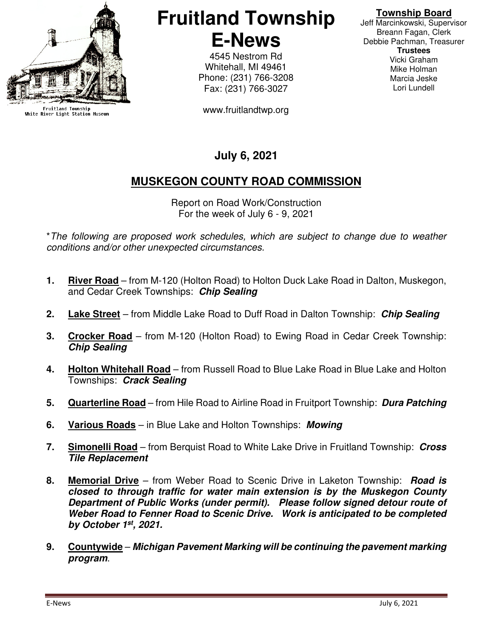

Fruitland Township<br>White River Light Station Museum

# **Fruitland Township E-News**

4545 Nestrom Rd Whitehall, MI 49461 Phone: (231) 766-3208 Fax: (231) 766-3027

www.fruitlandtwp.org

## **Township Board**

Jeff Marcinkowski, Supervisor Breann Fagan, Clerk Debbie Pachman, Treasurer **Trustees**  Vicki Graham Mike Holman Marcia Jeske Lori Lundell

# **July 6, 2021**

# **MUSKEGON COUNTY ROAD COMMISSION**

Report on Road Work/Construction For the week of July 6 - 9, 2021

\*The following are proposed work schedules, which are subject to change due to weather conditions and/or other unexpected circumstances.

- **1. River Road** from M-120 (Holton Road) to Holton Duck Lake Road in Dalton, Muskegon, and Cedar Creek Townships: **Chip Sealing**
- **2. Lake Street** from Middle Lake Road to Duff Road in Dalton Township: **Chip Sealing**
- **3. Crocker Road** from M-120 (Holton Road) to Ewing Road in Cedar Creek Township: **Chip Sealing**
- **4. Holton Whitehall Road** from Russell Road to Blue Lake Road in Blue Lake and Holton Townships: **Crack Sealing**
- **5. Quarterline Road** from Hile Road to Airline Road in Fruitport Township: **Dura Patching**
- **6. Various Roads** in Blue Lake and Holton Townships: **Mowing**
- **7. Simonelli Road** from Berquist Road to White Lake Drive in Fruitland Township: **Cross Tile Replacement**
- **8. Memorial Drive** from Weber Road to Scenic Drive in Laketon Township: **Road is closed to through traffic for water main extension is by the Muskegon County Department of Public Works (under permit). Please follow signed detour route of Weber Road to Fenner Road to Scenic Drive. Work is anticipated to be completed by October 1st, 2021.**
- **9. Countywide Michigan Pavement Marking will be continuing the pavement marking program**.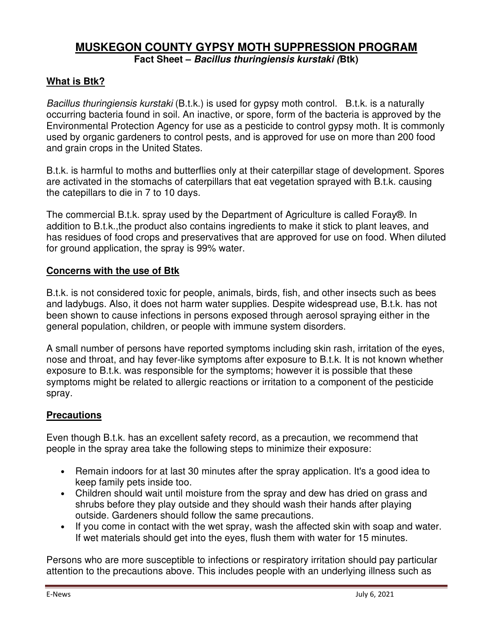## **MUSKEGON COUNTY GYPSY MOTH SUPPRESSION PROGRAM Fact Sheet – Bacillus thuringiensis kurstaki (Btk)**

#### **What is Btk?**

Bacillus thuringiensis kurstaki (B.t.k.) is used for gypsy moth control. B.t.k. is a naturally occurring bacteria found in soil. An inactive, or spore, form of the bacteria is approved by the Environmental Protection Agency for use as a pesticide to control gypsy moth. It is commonly used by organic gardeners to control pests, and is approved for use on more than 200 food and grain crops in the United States.

B.t.k. is harmful to moths and butterflies only at their caterpillar stage of development. Spores are activated in the stomachs of caterpillars that eat vegetation sprayed with B.t.k. causing the catepillars to die in 7 to 10 days.

The commercial B.t.k. spray used by the Department of Agriculture is called Foray®. In addition to B.t.k.,the product also contains ingredients to make it stick to plant leaves, and has residues of food crops and preservatives that are approved for use on food. When diluted for ground application, the spray is 99% water.

#### **Concerns with the use of Btk**

B.t.k. is not considered toxic for people, animals, birds, fish, and other insects such as bees and ladybugs. Also, it does not harm water supplies. Despite widespread use, B.t.k. has not been shown to cause infections in persons exposed through aerosol spraying either in the general population, children, or people with immune system disorders.

A small number of persons have reported symptoms including skin rash, irritation of the eyes, nose and throat, and hay fever-like symptoms after exposure to B.t.k. It is not known whether exposure to B.t.k. was responsible for the symptoms; however it is possible that these symptoms might be related to allergic reactions or irritation to a component of the pesticide spray.

#### **Precautions**

Even though B.t.k. has an excellent safety record, as a precaution, we recommend that people in the spray area take the following steps to minimize their exposure:

- Remain indoors for at last 30 minutes after the spray application. It's a good idea to keep family pets inside too.
- Children should wait until moisture from the spray and dew has dried on grass and shrubs before they play outside and they should wash their hands after playing outside. Gardeners should follow the same precautions.
- If you come in contact with the wet spray, wash the affected skin with soap and water. If wet materials should get into the eyes, flush them with water for 15 minutes.

Persons who are more susceptible to infections or respiratory irritation should pay particular attention to the precautions above. This includes people with an underlying illness such as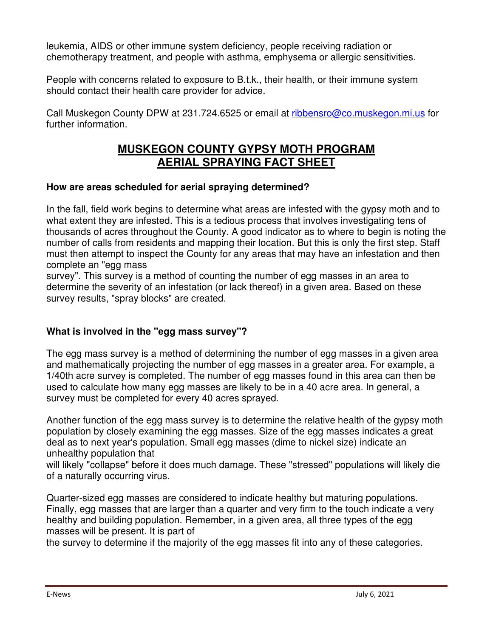leukemia, AIDS or other immune system deficiency, people receiving radiation or chemotherapy treatment, and people with asthma, emphysema or allergic sensitivities.

People with concerns related to exposure to B.t.k., their health, or their immune system should contact their health care provider for advice.

Call Muskegon County DPW at 231.724.6525 or email at ribbensro@co.muskegon.mi.us for further information.

# **MUSKEGON COUNTY GYPSY MOTH PROGRAM AERIAL SPRAYING FACT SHEET**

#### **How are areas scheduled for aerial spraying determined?**

In the fall, field work begins to determine what areas are infested with the gypsy moth and to what extent they are infested. This is a tedious process that involves investigating tens of thousands of acres throughout the County. A good indicator as to where to begin is noting the number of calls from residents and mapping their location. But this is only the first step. Staff must then attempt to inspect the County for any areas that may have an infestation and then complete an "egg mass

survey". This survey is a method of counting the number of egg masses in an area to determine the severity of an infestation (or lack thereof) in a given area. Based on these survey results, "spray blocks" are created.

#### **What is involved in the "egg mass survey"?**

The egg mass survey is a method of determining the number of egg masses in a given area and mathematically projecting the number of egg masses in a greater area. For example, a 1/40th acre survey is completed. The number of egg masses found in this area can then be used to calculate how many egg masses are likely to be in a 40 acre area. In general, a survey must be completed for every 40 acres sprayed.

Another function of the egg mass survey is to determine the relative health of the gypsy moth population by closely examining the egg masses. Size of the egg masses indicates a great deal as to next year's population. Small egg masses (dime to nickel size) indicate an unhealthy population that

will likely "collapse" before it does much damage. These "stressed" populations will likely die of a naturally occurring virus.

Quarter-sized egg masses are considered to indicate healthy but maturing populations. Finally, egg masses that are larger than a quarter and very firm to the touch indicate a very healthy and building population. Remember, in a given area, all three types of the egg masses will be present. It is part of

the survey to determine if the majority of the egg masses fit into any of these categories.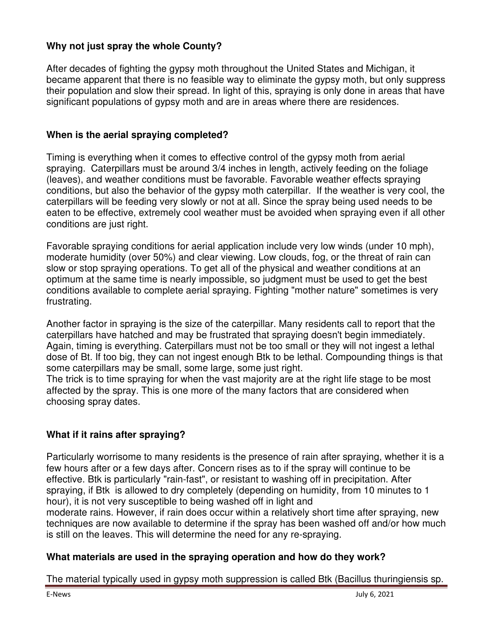#### **Why not just spray the whole County?**

After decades of fighting the gypsy moth throughout the United States and Michigan, it became apparent that there is no feasible way to eliminate the gypsy moth, but only suppress their population and slow their spread. In light of this, spraying is only done in areas that have significant populations of gypsy moth and are in areas where there are residences.

#### **When is the aerial spraying completed?**

Timing is everything when it comes to effective control of the gypsy moth from aerial spraying. Caterpillars must be around 3/4 inches in length, actively feeding on the foliage (leaves), and weather conditions must be favorable. Favorable weather effects spraying conditions, but also the behavior of the gypsy moth caterpillar. If the weather is very cool, the caterpillars will be feeding very slowly or not at all. Since the spray being used needs to be eaten to be effective, extremely cool weather must be avoided when spraying even if all other conditions are just right.

Favorable spraying conditions for aerial application include very low winds (under 10 mph), moderate humidity (over 50%) and clear viewing. Low clouds, fog, or the threat of rain can slow or stop spraying operations. To get all of the physical and weather conditions at an optimum at the same time is nearly impossible, so judgment must be used to get the best conditions available to complete aerial spraying. Fighting "mother nature" sometimes is very frustrating.

Another factor in spraying is the size of the caterpillar. Many residents call to report that the caterpillars have hatched and may be frustrated that spraying doesn't begin immediately. Again, timing is everything. Caterpillars must not be too small or they will not ingest a lethal dose of Bt. If too big, they can not ingest enough Btk to be lethal. Compounding things is that some caterpillars may be small, some large, some just right.

The trick is to time spraying for when the vast majority are at the right life stage to be most affected by the spray. This is one more of the many factors that are considered when choosing spray dates.

#### **What if it rains after spraying?**

Particularly worrisome to many residents is the presence of rain after spraying, whether it is a few hours after or a few days after. Concern rises as to if the spray will continue to be effective. Btk is particularly "rain-fast", or resistant to washing off in precipitation. After spraying, if Btk is allowed to dry completely (depending on humidity, from 10 minutes to 1 hour), it is not very susceptible to being washed off in light and

moderate rains. However, if rain does occur within a relatively short time after spraying, new techniques are now available to determine if the spray has been washed off and/or how much is still on the leaves. This will determine the need for any re-spraying.

#### **What materials are used in the spraying operation and how do they work?**

The material typically used in gypsy moth suppression is called Btk (Bacillus thuringiensis sp.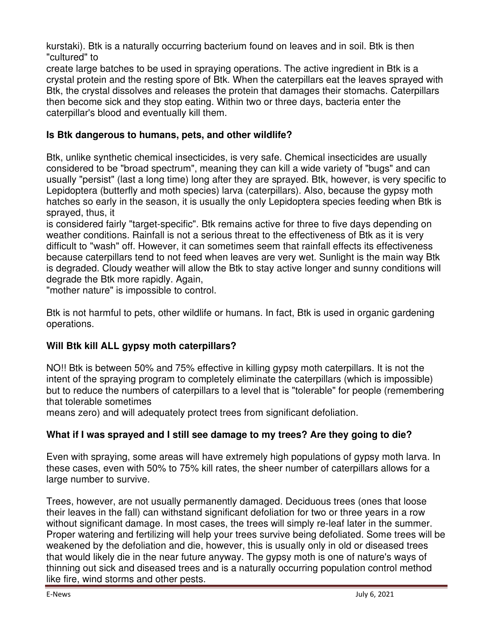kurstaki). Btk is a naturally occurring bacterium found on leaves and in soil. Btk is then "cultured" to

create large batches to be used in spraying operations. The active ingredient in Btk is a crystal protein and the resting spore of Btk. When the caterpillars eat the leaves sprayed with Btk, the crystal dissolves and releases the protein that damages their stomachs. Caterpillars then become sick and they stop eating. Within two or three days, bacteria enter the caterpillar's blood and eventually kill them.

#### **Is Btk dangerous to humans, pets, and other wildlife?**

Btk, unlike synthetic chemical insecticides, is very safe. Chemical insecticides are usually considered to be "broad spectrum", meaning they can kill a wide variety of "bugs" and can usually "persist" (last a long time) long after they are sprayed. Btk, however, is very specific to Lepidoptera (butterfly and moth species) larva (caterpillars). Also, because the gypsy moth hatches so early in the season, it is usually the only Lepidoptera species feeding when Btk is sprayed, thus, it

is considered fairly "target-specific". Btk remains active for three to five days depending on weather conditions. Rainfall is not a serious threat to the effectiveness of Btk as it is very difficult to "wash" off. However, it can sometimes seem that rainfall effects its effectiveness because caterpillars tend to not feed when leaves are very wet. Sunlight is the main way Btk is degraded. Cloudy weather will allow the Btk to stay active longer and sunny conditions will degrade the Btk more rapidly. Again,

"mother nature" is impossible to control.

Btk is not harmful to pets, other wildlife or humans. In fact, Btk is used in organic gardening operations.

#### **Will Btk kill ALL gypsy moth caterpillars?**

NO!! Btk is between 50% and 75% effective in killing gypsy moth caterpillars. It is not the intent of the spraying program to completely eliminate the caterpillars (which is impossible) but to reduce the numbers of caterpillars to a level that is "tolerable" for people (remembering that tolerable sometimes

means zero) and will adequately protect trees from significant defoliation.

## **What if I was sprayed and I still see damage to my trees? Are they going to die?**

Even with spraying, some areas will have extremely high populations of gypsy moth larva. In these cases, even with 50% to 75% kill rates, the sheer number of caterpillars allows for a large number to survive.

Trees, however, are not usually permanently damaged. Deciduous trees (ones that loose their leaves in the fall) can withstand significant defoliation for two or three years in a row without significant damage. In most cases, the trees will simply re-leaf later in the summer. Proper watering and fertilizing will help your trees survive being defoliated. Some trees will be weakened by the defoliation and die, however, this is usually only in old or diseased trees that would likely die in the near future anyway. The gypsy moth is one of nature's ways of thinning out sick and diseased trees and is a naturally occurring population control method like fire, wind storms and other pests.